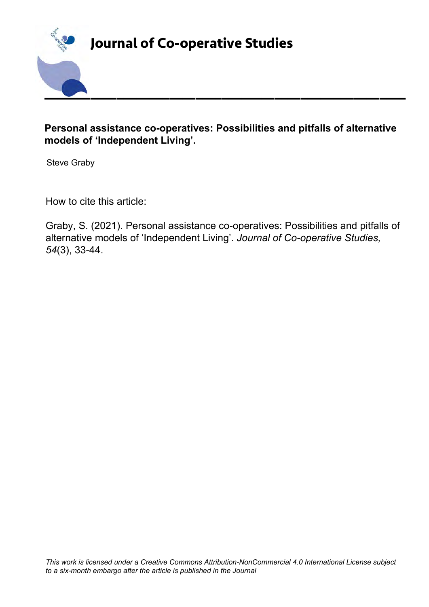

## **Personal assistance co-operatives: Possibilities and pitfalls of alternative models of 'Independent Living'.**

Steve Graby

How to cite this article:

Graby, S. (2021). Personal assistance co-operatives: Possibilities and pitfalls of alternative models of 'Independent Living'. *Journal of Co-operative Studies, 54*(3), 33-44.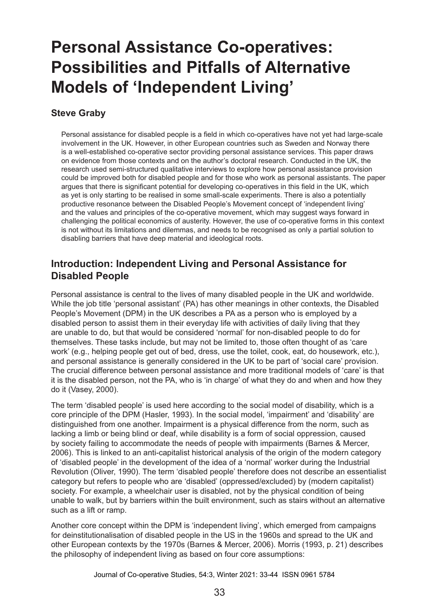# **Personal Assistance Co-operatives: Possibilities and Pitfalls of Alternative Models of 'Independent Living'**

#### **Steve Graby**

Personal assistance for disabled people is a field in which co-operatives have not yet had large-scale involvement in the UK. However, in other European countries such as Sweden and Norway there is a well-established co-operative sector providing personal assistance services. This paper draws on evidence from those contexts and on the author's doctoral research. Conducted in the UK, the research used semi-structured qualitative interviews to explore how personal assistance provision could be improved both for disabled people and for those who work as personal assistants. The paper argues that there is significant potential for developing co-operatives in this field in the UK, which as yet is only starting to be realised in some small-scale experiments. There is also a potentially productive resonance between the Disabled People's Movement concept of 'independent living' and the values and principles of the co-operative movement, which may suggest ways forward in challenging the political economics of austerity. However, the use of co-operative forms in this context is not without its limitations and dilemmas, and needs to be recognised as only a partial solution to disabling barriers that have deep material and ideological roots.

#### **Introduction: Independent Living and Personal Assistance for Disabled People**

Personal assistance is central to the lives of many disabled people in the UK and worldwide. While the job title 'personal assistant' (PA) has other meanings in other contexts, the Disabled People's Movement (DPM) in the UK describes a PA as a person who is employed by a disabled person to assist them in their everyday life with activities of daily living that they are unable to do, but that would be considered 'normal' for non-disabled people to do for themselves. These tasks include, but may not be limited to, those often thought of as 'care work' (e.g., helping people get out of bed, dress, use the toilet, cook, eat, do housework, etc.), and personal assistance is generally considered in the UK to be part of 'social care' provision. The crucial difference between personal assistance and more traditional models of 'care' is that it is the disabled person, not the PA, who is 'in charge' of what they do and when and how they do it (Vasey, 2000).

The term 'disabled people' is used here according to the social model of disability, which is a core principle of the DPM (Hasler, 1993). In the social model, 'impairment' and 'disability' are distinguished from one another. Impairment is a physical difference from the norm, such as lacking a limb or being blind or deaf, while disability is a form of social oppression, caused by society failing to accommodate the needs of people with impairments (Barnes & Mercer, 2006). This is linked to an anti-capitalist historical analysis of the origin of the modern category of 'disabled people' in the development of the idea of a 'normal' worker during the Industrial Revolution (Oliver, 1990). The term 'disabled people' therefore does not describe an essentialist category but refers to people who are 'disabled' (oppressed/excluded) by (modern capitalist) society. For example, a wheelchair user is disabled, not by the physical condition of being unable to walk, but by barriers within the built environment, such as stairs without an alternative such as a lift or ramp.

Another core concept within the DPM is 'independent living', which emerged from campaigns for deinstitutionalisation of disabled people in the US in the 1960s and spread to the UK and other European contexts by the 1970s (Barnes & Mercer, 2006). Morris (1993, p. 21) describes the philosophy of independent living as based on four core assumptions: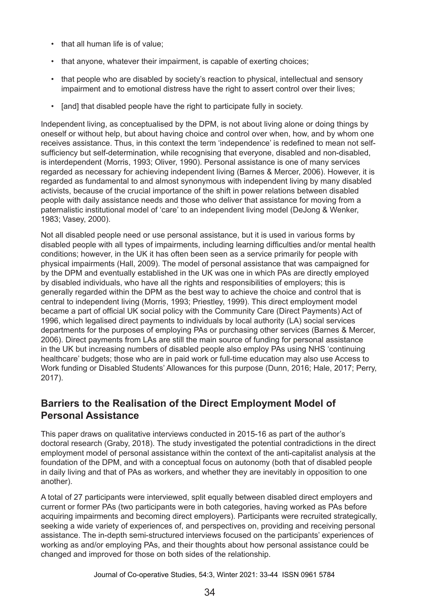- that all human life is of value;
- that anyone, whatever their impairment, is capable of exerting choices;
- that people who are disabled by society's reaction to physical, intellectual and sensory impairment and to emotional distress have the right to assert control over their lives;
- [and] that disabled people have the right to participate fully in society.

Independent living, as conceptualised by the DPM, is not about living alone or doing things by oneself or without help, but about having choice and control over when, how, and by whom one receives assistance. Thus, in this context the term 'independence' is redefined to mean not selfsufficiency but self-determination, while recognising that everyone, disabled and non-disabled, is interdependent (Morris, 1993; Oliver, 1990). Personal assistance is one of many services regarded as necessary for achieving independent living (Barnes & Mercer, 2006). However, it is regarded as fundamental to and almost synonymous with independent living by many disabled activists, because of the crucial importance of the shift in power relations between disabled people with daily assistance needs and those who deliver that assistance for moving from a paternalistic institutional model of 'care' to an independent living model (DeJong & Wenker, 1983; Vasey, 2000).

Not all disabled people need or use personal assistance, but it is used in various forms by disabled people with all types of impairments, including learning difficulties and/or mental health conditions; however, in the UK it has often been seen as a service primarily for people with physical impairments (Hall, 2009). The model of personal assistance that was campaigned for by the DPM and eventually established in the UK was one in which PAs are directly employed by disabled individuals, who have all the rights and responsibilities of employers; this is generally regarded within the DPM as the best way to achieve the choice and control that is central to independent living (Morris, 1993; Priestley, 1999). This direct employment model became a part of official UK social policy with the Community Care (Direct Payments) Act of 1996, which legalised direct payments to individuals by local authority (LA) social services departments for the purposes of employing PAs or purchasing other services (Barnes & Mercer, 2006). Direct payments from LAs are still the main source of funding for personal assistance in the UK but increasing numbers of disabled people also employ PAs using NHS 'continuing healthcare' budgets; those who are in paid work or full-time education may also use Access to Work funding or Disabled Students' Allowances for this purpose (Dunn, 2016; Hale, 2017; Perry, 2017).

#### **Barriers to the Realisation of the Direct Employment Model of Personal Assistance**

This paper draws on qualitative interviews conducted in 2015-16 as part of the author's doctoral research (Graby, 2018). The study investigated the potential contradictions in the direct employment model of personal assistance within the context of the anti-capitalist analysis at the foundation of the DPM, and with a conceptual focus on autonomy (both that of disabled people in daily living and that of PAs as workers, and whether they are inevitably in opposition to one another).

A total of 27 participants were interviewed, split equally between disabled direct employers and current or former PAs (two participants were in both categories, having worked as PAs before acquiring impairments and becoming direct employers). Participants were recruited strategically, seeking a wide variety of experiences of, and perspectives on, providing and receiving personal assistance. The in-depth semi-structured interviews focused on the participants' experiences of working as and/or employing PAs, and their thoughts about how personal assistance could be changed and improved for those on both sides of the relationship.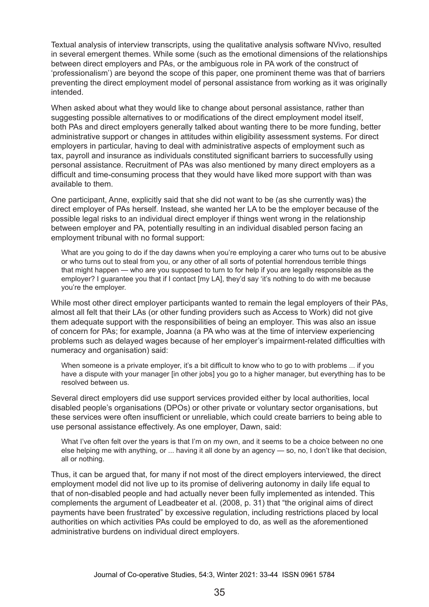Textual analysis of interview transcripts, using the qualitative analysis software NVivo, resulted in several emergent themes. While some (such as the emotional dimensions of the relationships between direct employers and PAs, or the ambiguous role in PA work of the construct of 'professionalism') are beyond the scope of this paper, one prominent theme was that of barriers preventing the direct employment model of personal assistance from working as it was originally intended.

When asked about what they would like to change about personal assistance, rather than suggesting possible alternatives to or modifications of the direct employment model itself, both PAs and direct employers generally talked about wanting there to be more funding, better administrative support or changes in attitudes within eligibility assessment systems. For direct employers in particular, having to deal with administrative aspects of employment such as tax, payroll and insurance as individuals constituted significant barriers to successfully using personal assistance. Recruitment of PAs was also mentioned by many direct employers as a difficult and time-consuming process that they would have liked more support with than was available to them.

One participant, Anne, explicitly said that she did not want to be (as she currently was) the direct employer of PAs herself. Instead, she wanted her LA to be the employer because of the possible legal risks to an individual direct employer if things went wrong in the relationship between employer and PA, potentially resulting in an individual disabled person facing an employment tribunal with no formal support:

What are you going to do if the day dawns when you're employing a carer who turns out to be abusive or who turns out to steal from you, or any other of all sorts of potential horrendous terrible things that might happen — who are you supposed to turn to for help if you are legally responsible as the employer? I guarantee you that if I contact [my LA], they'd say 'it's nothing to do with me because you're the employer.

While most other direct employer participants wanted to remain the legal employers of their PAs, almost all felt that their LAs (or other funding providers such as Access to Work) did not give them adequate support with the responsibilities of being an employer. This was also an issue of concern for PAs; for example, Joanna (a PA who was at the time of interview experiencing problems such as delayed wages because of her employer's impairment-related difficulties with numeracy and organisation) said:

When someone is a private employer, it's a bit difficult to know who to go to with problems ... if you have a dispute with your manager [in other jobs] you go to a higher manager, but everything has to be resolved between us.

Several direct employers did use support services provided either by local authorities, local disabled people's organisations (DPOs) or other private or voluntary sector organisations, but these services were often insufficient or unreliable, which could create barriers to being able to use personal assistance effectively. As one employer, Dawn, said:

What I've often felt over the years is that I'm on my own, and it seems to be a choice between no one else helping me with anything, or ... having it all done by an agency — so, no, I don't like that decision, all or nothing.

Thus, it can be argued that, for many if not most of the direct employers interviewed, the direct employment model did not live up to its promise of delivering autonomy in daily life equal to that of non-disabled people and had actually never been fully implemented as intended. This complements the argument of Leadbeater et al. (2008, p. 31) that "the original aims of direct payments have been frustrated" by excessive regulation, including restrictions placed by local authorities on which activities PAs could be employed to do, as well as the aforementioned administrative burdens on individual direct employers.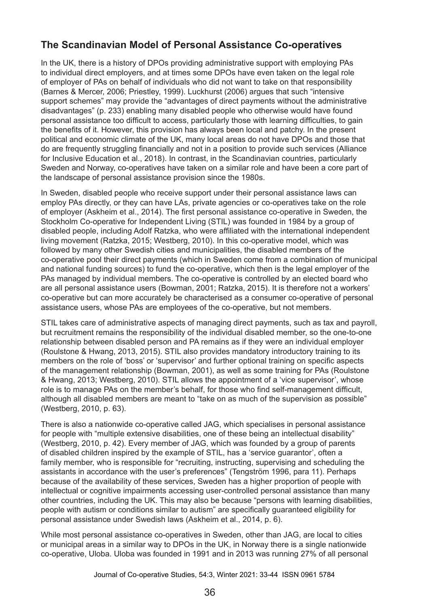# **The Scandinavian Model of Personal Assistance Co-operatives**

In the UK, there is a history of DPOs providing administrative support with employing PAs to individual direct employers, and at times some DPOs have even taken on the legal role of employer of PAs on behalf of individuals who did not want to take on that responsibility (Barnes & Mercer, 2006; Priestley, 1999). Luckhurst (2006) argues that such "intensive support schemes" may provide the "advantages of direct payments without the administrative disadvantages" (p. 233) enabling many disabled people who otherwise would have found personal assistance too difficult to access, particularly those with learning difficulties, to gain the benefits of it. However, this provision has always been local and patchy. In the present political and economic climate of the UK, many local areas do not have DPOs and those that do are frequently struggling financially and not in a position to provide such services (Alliance for Inclusive Education et al., 2018). In contrast, in the Scandinavian countries, particularly Sweden and Norway, co-operatives have taken on a similar role and have been a core part of the landscape of personal assistance provision since the 1980s.

In Sweden, disabled people who receive support under their personal assistance laws can employ PAs directly, or they can have LAs, private agencies or co-operatives take on the role of employer (Askheim et al., 2014). The first personal assistance co-operative in Sweden, the Stockholm Co-operative for Independent Living (STIL) was founded in 1984 by a group of disabled people, including Adolf Ratzka, who were affiliated with the international independent living movement (Ratzka, 2015; Westberg, 2010). In this co-operative model, which was followed by many other Swedish cities and municipalities, the disabled members of the co-operative pool their direct payments (which in Sweden come from a combination of municipal and national funding sources) to fund the co-operative, which then is the legal employer of the PAs managed by individual members. The co-operative is controlled by an elected board who are all personal assistance users (Bowman, 2001; Ratzka, 2015). It is therefore not a workers' co-operative but can more accurately be characterised as a consumer co-operative of personal assistance users, whose PAs are employees of the co-operative, but not members.

STIL takes care of administrative aspects of managing direct payments, such as tax and payroll, but recruitment remains the responsibility of the individual disabled member, so the one-to-one relationship between disabled person and PA remains as if they were an individual employer (Roulstone & Hwang, 2013, 2015). STIL also provides mandatory introductory training to its members on the role of 'boss' or 'supervisor' and further optional training on specific aspects of the management relationship (Bowman, 2001), as well as some training for PAs (Roulstone & Hwang, 2013; Westberg, 2010). STIL allows the appointment of a 'vice supervisor', whose role is to manage PAs on the member's behalf, for those who find self-management difficult, although all disabled members are meant to "take on as much of the supervision as possible" (Westberg, 2010, p. 63).

There is also a nationwide co-operative called JAG, which specialises in personal assistance for people with "multiple extensive disabilities, one of these being an intellectual disability" (Westberg, 2010, p. 42). Every member of JAG, which was founded by a group of parents of disabled children inspired by the example of STIL, has a 'service guarantor', often a family member, who is responsible for "recruiting, instructing, supervising and scheduling the assistants in accordance with the user's preferences" (Tengström 1996, para 11). Perhaps because of the availability of these services, Sweden has a higher proportion of people with intellectual or cognitive impairments accessing user-controlled personal assistance than many other countries, including the UK. This may also be because "persons with learning disabilities, people with autism or conditions similar to autism" are specifically guaranteed eligibility for personal assistance under Swedish laws (Askheim et al., 2014, p. 6).

While most personal assistance co-operatives in Sweden, other than JAG, are local to cities or municipal areas in a similar way to DPOs in the UK, in Norway there is a single nationwide co-operative, Uloba. Uloba was founded in 1991 and in 2013 was running 27% of all personal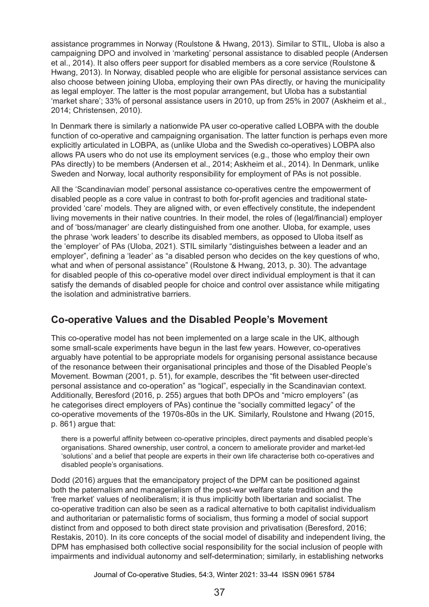assistance programmes in Norway (Roulstone & Hwang, 2013). Similar to STIL, Uloba is also a campaigning DPO and involved in 'marketing' personal assistance to disabled people (Andersen et al., 2014). It also offers peer support for disabled members as a core service (Roulstone & Hwang, 2013). In Norway, disabled people who are eligible for personal assistance services can also choose between joining Uloba, employing their own PAs directly, or having the municipality as legal employer. The latter is the most popular arrangement, but Uloba has a substantial 'market share'; 33% of personal assistance users in 2010, up from 25% in 2007 (Askheim et al., 2014; Christensen, 2010).

In Denmark there is similarly a nationwide PA user co-operative called LOBPA with the double function of co-operative and campaigning organisation. The latter function is perhaps even more explicitly articulated in LOBPA, as (unlike Uloba and the Swedish co-operatives) LOBPA also allows PA users who do not use its employment services (e.g., those who employ their own PAs directly) to be members (Andersen et al., 2014; Askheim et al., 2014). In Denmark, unlike Sweden and Norway, local authority responsibility for employment of PAs is not possible.

All the 'Scandinavian model' personal assistance co-operatives centre the empowerment of disabled people as a core value in contrast to both for-profit agencies and traditional stateprovided 'care' models. They are aligned with, or even effectively constitute, the independent living movements in their native countries. In their model, the roles of (legal/financial) employer and of 'boss/manager' are clearly distinguished from one another. Uloba, for example, uses the phrase 'work leaders' to describe its disabled members, as opposed to Uloba itself as the 'employer' of PAs (Uloba, 2021). STIL similarly "distinguishes between a leader and an employer", defining a 'leader' as "a disabled person who decides on the key questions of who, what and when of personal assistance" (Roulstone & Hwang, 2013, p. 30). The advantage for disabled people of this co-operative model over direct individual employment is that it can satisfy the demands of disabled people for choice and control over assistance while mitigating the isolation and administrative barriers.

#### **Co-operative Values and the Disabled People's Movement**

This co-operative model has not been implemented on a large scale in the UK, although some small-scale experiments have begun in the last few years. However, co-operatives arguably have potential to be appropriate models for organising personal assistance because of the resonance between their organisational principles and those of the Disabled People's Movement. Bowman (2001, p. 51), for example, describes the "fit between user-directed personal assistance and co-operation" as "logical", especially in the Scandinavian context. Additionally, Beresford (2016, p. 255) argues that both DPOs and "micro employers" (as he categorises direct employers of PAs) continue the "socially committed legacy" of the co-operative movements of the 1970s-80s in the UK. Similarly, Roulstone and Hwang (2015, p. 861) argue that:

there is a powerful affinity between co-operative principles, direct payments and disabled people's organisations. Shared ownership, user control, a concern to ameliorate provider and market-led 'solutions' and a belief that people are experts in their own life characterise both co-operatives and disabled people's organisations.

Dodd (2016) argues that the emancipatory project of the DPM can be positioned against both the paternalism and managerialism of the post-war welfare state tradition and the 'free market' values of neoliberalism; it is thus implicitly both libertarian and socialist. The co‑operative tradition can also be seen as a radical alternative to both capitalist individualism and authoritarian or paternalistic forms of socialism, thus forming a model of social support distinct from and opposed to both direct state provision and privatisation (Beresford, 2016; Restakis, 2010). In its core concepts of the social model of disability and independent living, the DPM has emphasised both collective social responsibility for the social inclusion of people with impairments and individual autonomy and self-determination; similarly, in establishing networks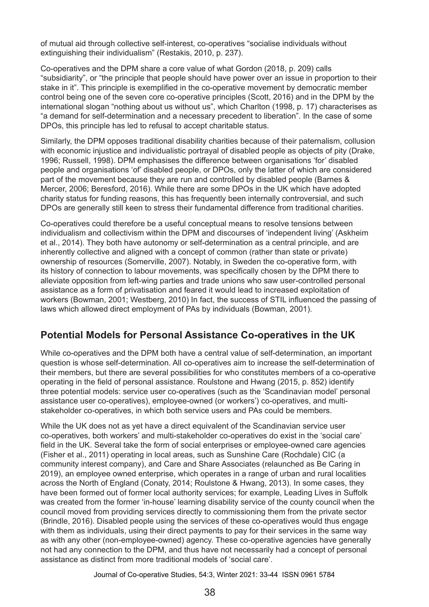of mutual aid through collective self-interest, co-operatives "socialise individuals without extinguishing their individualism" (Restakis, 2010, p. 237).

Co-operatives and the DPM share a core value of what Gordon (2018, p. 209) calls "subsidiarity", or "the principle that people should have power over an issue in proportion to their stake in it". This principle is exemplified in the co-operative movement by democratic member control being one of the seven core co-operative principles (Scott, 2016) and in the DPM by the international slogan "nothing about us without us", which Charlton (1998, p. 17) characterises as "a demand for self-determination and a necessary precedent to liberation". In the case of some DPOs, this principle has led to refusal to accept charitable status.

Similarly, the DPM opposes traditional disability charities because of their paternalism, collusion with economic injustice and individualistic portrayal of disabled people as objects of pity (Drake, 1996; Russell, 1998). DPM emphasises the difference between organisations 'for' disabled people and organisations 'of' disabled people, or DPOs, only the latter of which are considered part of the movement because they are run and controlled by disabled people (Barnes & Mercer, 2006; Beresford, 2016). While there are some DPOs in the UK which have adopted charity status for funding reasons, this has frequently been internally controversial, and such DPOs are generally still keen to stress their fundamental difference from traditional charities.

Co-operatives could therefore be a useful conceptual means to resolve tensions between individualism and collectivism within the DPM and discourses of 'independent living' (Askheim et al., 2014). They both have autonomy or self-determination as a central principle, and are inherently collective and aligned with a concept of common (rather than state or private) ownership of resources (Somerville, 2007). Notably, in Sweden the co-operative form, with its history of connection to labour movements, was specifically chosen by the DPM there to alleviate opposition from left-wing parties and trade unions who saw user-controlled personal assistance as a form of privatisation and feared it would lead to increased exploitation of workers (Bowman, 2001; Westberg, 2010) In fact, the success of STIL influenced the passing of laws which allowed direct employment of PAs by individuals (Bowman, 2001).

#### **Potential Models for Personal Assistance Co-operatives in the UK**

While co-operatives and the DPM both have a central value of self-determination, an important question is whose self-determination. All co-operatives aim to increase the self-determination of their members, but there are several possibilities for who constitutes members of a co-operative operating in the field of personal assistance. Roulstone and Hwang (2015, p. 852) identify three potential models: service user co-operatives (such as the 'Scandinavian model' personal assistance user co-operatives), employee-owned (or workers') co-operatives, and multistakeholder co-operatives, in which both service users and PAs could be members.

While the UK does not as yet have a direct equivalent of the Scandinavian service user co‑operatives, both workers' and multi-stakeholder co-operatives do exist in the 'social care' field in the UK. Several take the form of social enterprises or employee-owned care agencies (Fisher et al., 2011) operating in local areas, such as Sunshine Care (Rochdale) CIC (a community interest company), and Care and Share Associates (relaunched as Be Caring in 2019), an employee owned enterprise, which operates in a range of urban and rural localities across the North of England (Conaty, 2014; Roulstone & Hwang, 2013). In some cases, they have been formed out of former local authority services; for example, Leading Lives in Suffolk was created from the former 'in-house' learning disability service of the county council when the council moved from providing services directly to commissioning them from the private sector (Brindle, 2016). Disabled people using the services of these co-operatives would thus engage with them as individuals, using their direct payments to pay for their services in the same way as with any other (non-employee-owned) agency. These co-operative agencies have generally not had any connection to the DPM, and thus have not necessarily had a concept of personal assistance as distinct from more traditional models of 'social care'.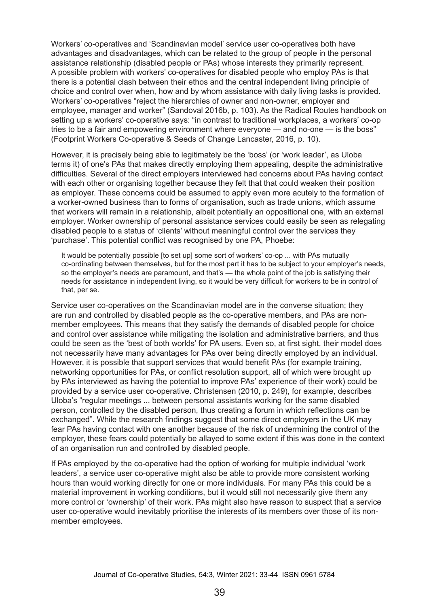Workers' co-operatives and 'Scandinavian model' service user co-operatives both have advantages and disadvantages, which can be related to the group of people in the personal assistance relationship (disabled people or PAs) whose interests they primarily represent. A possible problem with workers' co-operatives for disabled people who employ PAs is that there is a potential clash between their ethos and the central independent living principle of choice and control over when, how and by whom assistance with daily living tasks is provided. Workers' co-operatives "reject the hierarchies of owner and non-owner, employer and employee, manager and worker" (Sandoval 2016b, p. 103). As the Radical Routes handbook on setting up a workers' co-operative says: "in contrast to traditional workplaces, a workers' co-op tries to be a fair and empowering environment where everyone — and no-one — is the boss" (Footprint Workers Co-operative & Seeds of Change Lancaster, 2016, p. 10).

However, it is precisely being able to legitimately be the 'boss' (or 'work leader', as Uloba terms it) of one's PAs that makes directly employing them appealing, despite the administrative difficulties. Several of the direct employers interviewed had concerns about PAs having contact with each other or organising together because they felt that that could weaken their position as employer. These concerns could be assumed to apply even more acutely to the formation of a worker-owned business than to forms of organisation, such as trade unions, which assume that workers will remain in a relationship, albeit potentially an oppositional one, with an external employer. Worker ownership of personal assistance services could easily be seen as relegating disabled people to a status of 'clients' without meaningful control over the services they 'purchase'. This potential conflict was recognised by one PA, Phoebe:

It would be potentially possible [to set up] some sort of workers' co-op ... with PAs mutually co-ordinating between themselves, but for the most part it has to be subject to your employer's needs, so the employer's needs are paramount, and that's — the whole point of the job is satisfying their needs for assistance in independent living, so it would be very difficult for workers to be in control of that, per se.

Service user co-operatives on the Scandinavian model are in the converse situation; they are run and controlled by disabled people as the co-operative members, and PAs are nonmember employees. This means that they satisfy the demands of disabled people for choice and control over assistance while mitigating the isolation and administrative barriers, and thus could be seen as the 'best of both worlds' for PA users. Even so, at first sight, their model does not necessarily have many advantages for PAs over being directly employed by an individual. However, it is possible that support services that would benefit PAs (for example training, networking opportunities for PAs, or conflict resolution support, all of which were brought up by PAs interviewed as having the potential to improve PAs' experience of their work) could be provided by a service user co-operative. Christensen (2010, p. 249), for example, describes Uloba's "regular meetings ... between personal assistants working for the same disabled person, controlled by the disabled person, thus creating a forum in which reflections can be exchanged". While the research findings suggest that some direct employers in the UK may fear PAs having contact with one another because of the risk of undermining the control of the employer, these fears could potentially be allayed to some extent if this was done in the context of an organisation run and controlled by disabled people.

If PAs employed by the co-operative had the option of working for multiple individual 'work leaders', a service user co-operative might also be able to provide more consistent working hours than would working directly for one or more individuals. For many PAs this could be a material improvement in working conditions, but it would still not necessarily give them any more control or 'ownership' of their work. PAs might also have reason to suspect that a service user co-operative would inevitably prioritise the interests of its members over those of its nonmember employees.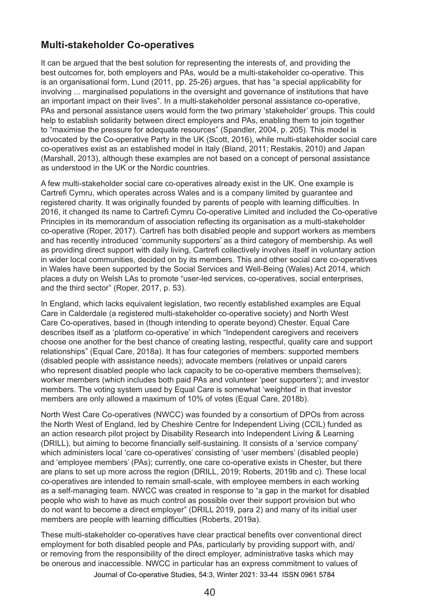#### **Multi-stakeholder Co-operatives**

It can be argued that the best solution for representing the interests of, and providing the best outcomes for, both employers and PAs, would be a multi-stakeholder co-operative. This is an organisational form, Lund (2011, pp. 25-26) argues, that has "a special applicability for involving ... marginalised populations in the oversight and governance of institutions that have an important impact on their lives". In a multi-stakeholder personal assistance co-operative, PAs and personal assistance users would form the two primary 'stakeholder' groups. This could help to establish solidarity between direct employers and PAs, enabling them to join together to "maximise the pressure for adequate resources" (Spandler, 2004, p. 205). This model is advocated by the Co-operative Party in the UK (Scott, 2016), while multi-stakeholder social care co-operatives exist as an established model in Italy (Bland, 2011; Restakis, 2010) and Japan (Marshall, 2013), although these examples are not based on a concept of personal assistance as understood in the UK or the Nordic countries.

A few multi-stakeholder social care co-operatives already exist in the UK. One example is Cartrefi Cymru, which operates across Wales and is a company limited by guarantee and registered charity. It was originally founded by parents of people with learning difficulties. In 2016, it changed its name to Cartrefi Cymru Co-operative Limited and included the Co-operative Principles in its memorandum of association reflecting its organisation as a multi-stakeholder co-operative (Roper, 2017). Cartrefi has both disabled people and support workers as members and has recently introduced 'community supporters' as a third category of membership. As well as providing direct support with daily living, Cartrefi collectively involves itself in voluntary action in wider local communities, decided on by its members. This and other social care co-operatives in Wales have been supported by the Social Services and Well-Being (Wales) Act 2014, which places a duty on Welsh LAs to promote "user-led services, co-operatives, social enterprises, and the third sector" (Roper, 2017, p. 53).

In England, which lacks equivalent legislation, two recently established examples are Equal Care in Calderdale (a registered multi-stakeholder co-operative society) and North West Care Co-operatives, based in (though intending to operate beyond) Chester. Equal Care describes itself as a 'platform co-operative' in which "Independent caregivers and receivers choose one another for the best chance of creating lasting, respectful, quality care and support relationships" (Equal Care, 2018a). It has four categories of members: supported members (disabled people with assistance needs); advocate members (relatives or unpaid carers who represent disabled people who lack capacity to be co-operative members themselves); worker members (which includes both paid PAs and volunteer 'peer supporters'); and investor members. The voting system used by Equal Care is somewhat 'weighted' in that investor members are only allowed a maximum of 10% of votes (Equal Care, 2018b).

North West Care Co-operatives (NWCC) was founded by a consortium of DPOs from across the North West of England, led by Cheshire Centre for Independent Living (CCIL) funded as an action research pilot project by Disability Research into Independent Living & Learning (DRILL), but aiming to become financially self-sustaining. It consists of a 'service company' which administers local 'care co-operatives' consisting of 'user members' (disabled people) and 'employee members' (PAs); currently, one care co-operative exists in Chester, but there are plans to set up more across the region (DRILL, 2019; Roberts, 2019b and c). These local co‑operatives are intended to remain small-scale, with employee members in each working as a self-managing team. NWCC was created in response to "a gap in the market for disabled people who wish to have as much control as possible over their support provision but who do not want to become a direct employer" (DRILL 2019, para 2) and many of its initial user members are people with learning difficulties (Roberts, 2019a).

These multi-stakeholder co-operatives have clear practical benefits over conventional direct employment for both disabled people and PAs, particularly by providing support with, and/ or removing from the responsibility of the direct employer, administrative tasks which may be onerous and inaccessible. NWCC in particular has an express commitment to values of Journal of Co-operative Studies, 54:3, Winter 2021: 33-44 ISSN 0961 5784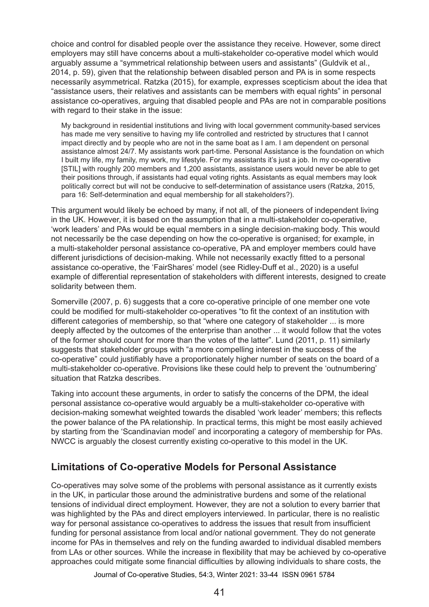choice and control for disabled people over the assistance they receive. However, some direct employers may still have concerns about a multi-stakeholder co-operative model which would arguably assume a "symmetrical relationship between users and assistants" (Guldvik et al., 2014, p. 59), given that the relationship between disabled person and PA is in some respects necessarily asymmetrical. Ratzka (2015), for example, expresses scepticism about the idea that "assistance users, their relatives and assistants can be members with equal rights" in personal assistance co-operatives, arguing that disabled people and PAs are not in comparable positions with regard to their stake in the issue:

My background in residential institutions and living with local government community-based services has made me very sensitive to having my life controlled and restricted by structures that I cannot impact directly and by people who are not in the same boat as I am. I am dependent on personal assistance almost 24/7. My assistants work part-time. Personal Assistance is the foundation on which I built my life, my family, my work, my lifestyle. For my assistants it's just a job. In my co-operative [STIL] with roughly 200 members and 1,200 assistants, assistance users would never be able to get their positions through, if assistants had equal voting rights. Assistants as equal members may look politically correct but will not be conducive to self-determination of assistance users (Ratzka, 2015, para 16: Self-determination and equal membership for all stakeholders?).

This argument would likely be echoed by many, if not all, of the pioneers of independent living in the UK. However, it is based on the assumption that in a multi-stakeholder co-operative, 'work leaders' and PAs would be equal members in a single decision-making body. This would not necessarily be the case depending on how the co-operative is organised; for example, in a multi-stakeholder personal assistance co-operative, PA and employer members could have different jurisdictions of decision-making. While not necessarily exactly fitted to a personal assistance co-operative, the 'FairShares' model (see Ridley-Duff et al., 2020) is a useful example of differential representation of stakeholders with different interests, designed to create solidarity between them.

Somerville (2007, p. 6) suggests that a core co-operative principle of one member one vote could be modified for multi-stakeholder co-operatives "to fit the context of an institution with different categories of membership, so that "where one category of stakeholder ... is more deeply affected by the outcomes of the enterprise than another ... it would follow that the votes of the former should count for more than the votes of the latter". Lund (2011, p. 11) similarly suggests that stakeholder groups with "a more compelling interest in the success of the co-operative" could justifiably have a proportionately higher number of seats on the board of a multi-stakeholder co-operative. Provisions like these could help to prevent the 'outnumbering' situation that Ratzka describes.

Taking into account these arguments, in order to satisfy the concerns of the DPM, the ideal personal assistance co-operative would arguably be a multi-stakeholder co-operative with decision-making somewhat weighted towards the disabled 'work leader' members; this reflects the power balance of the PA relationship. In practical terms, this might be most easily achieved by starting from the 'Scandinavian model' and incorporating a category of membership for PAs. NWCC is arguably the closest currently existing co-operative to this model in the UK.

#### **Limitations of Co-operative Models for Personal Assistance**

Co-operatives may solve some of the problems with personal assistance as it currently exists in the UK, in particular those around the administrative burdens and some of the relational tensions of individual direct employment. However, they are not a solution to every barrier that was highlighted by the PAs and direct employers interviewed. In particular, there is no realistic way for personal assistance co-operatives to address the issues that result from insufficient funding for personal assistance from local and/or national government. They do not generate income for PAs in themselves and rely on the funding awarded to individual disabled members from LAs or other sources. While the increase in flexibility that may be achieved by co-operative approaches could mitigate some financial difficulties by allowing individuals to share costs, the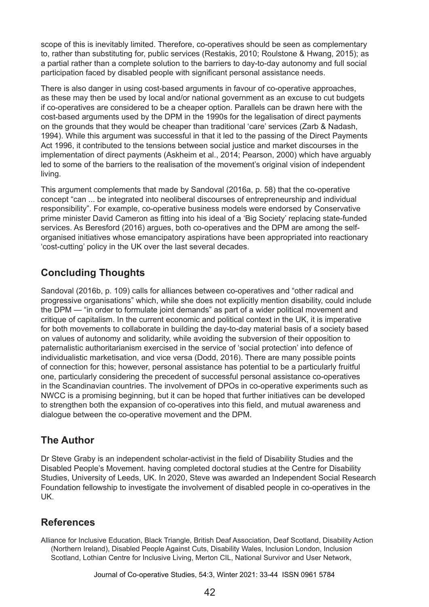scope of this is inevitably limited. Therefore, co-operatives should be seen as complementary to, rather than substituting for, public services (Restakis, 2010; Roulstone & Hwang, 2015); as a partial rather than a complete solution to the barriers to day-to-day autonomy and full social participation faced by disabled people with significant personal assistance needs.

There is also danger in using cost-based arguments in favour of co-operative approaches, as these may then be used by local and/or national government as an excuse to cut budgets if co-operatives are considered to be a cheaper option. Parallels can be drawn here with the cost-based arguments used by the DPM in the 1990s for the legalisation of direct payments on the grounds that they would be cheaper than traditional 'care' services (Zarb & Nadash, 1994). While this argument was successful in that it led to the passing of the Direct Payments Act 1996, it contributed to the tensions between social justice and market discourses in the implementation of direct payments (Askheim et al., 2014; Pearson, 2000) which have arguably led to some of the barriers to the realisation of the movement's original vision of independent living.

This argument complements that made by Sandoval (2016a, p. 58) that the co-operative concept "can ... be integrated into neoliberal discourses of entrepreneurship and individual responsibility". For example, co-operative business models were endorsed by Conservative prime minister David Cameron as fitting into his ideal of a 'Big Society' replacing state-funded services. As Beresford (2016) argues, both co-operatives and the DPM are among the selforganised initiatives whose emancipatory aspirations have been appropriated into reactionary 'cost-cutting' policy in the UK over the last several decades.

# **Concluding Thoughts**

Sandoval (2016b, p. 109) calls for alliances between co-operatives and "other radical and progressive organisations" which, while she does not explicitly mention disability, could include the DPM — "in order to formulate joint demands" as part of a wider political movement and critique of capitalism. In the current economic and political context in the UK, it is imperative for both movements to collaborate in building the day-to-day material basis of a society based on values of autonomy and solidarity, while avoiding the subversion of their opposition to paternalistic authoritarianism exercised in the service of 'social protection' into defence of individualistic marketisation, and vice versa (Dodd, 2016). There are many possible points of connection for this; however, personal assistance has potential to be a particularly fruitful one, particularly considering the precedent of successful personal assistance co-operatives in the Scandinavian countries. The involvement of DPOs in co-operative experiments such as NWCC is a promising beginning, but it can be hoped that further initiatives can be developed to strengthen both the expansion of co-operatives into this field, and mutual awareness and dialogue between the co-operative movement and the DPM.

## **The Author**

Dr Steve Graby is an independent scholar-activist in the field of Disability Studies and the Disabled People's Movement. having completed doctoral studies at the Centre for Disability Studies, University of Leeds, UK. In 2020, Steve was awarded an Independent Social Research Foundation fellowship to investigate the involvement of disabled people in co-operatives in the UK.

#### **References**

Alliance for Inclusive Education, Black Triangle, British Deaf Association, Deaf Scotland, Disability Action (Northern Ireland), Disabled People Against Cuts, Disability Wales, Inclusion London, Inclusion Scotland, Lothian Centre for Inclusive Living, Merton CIL, National Survivor and User Network,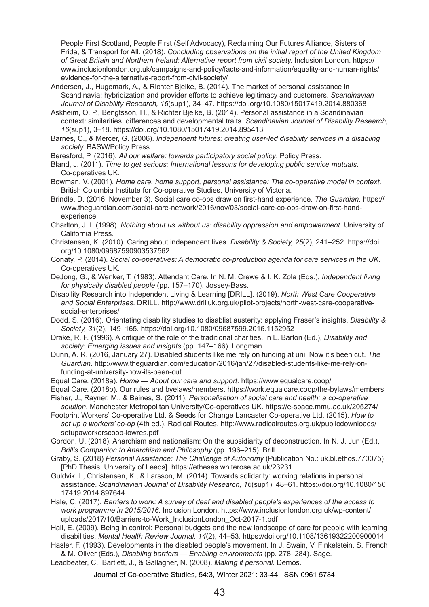People First Scotland, People First (Self Advocacy), Reclaiming Our Futures Alliance, Sisters of Frida, & Transport for All. (2018). *Concluding observations on the initial report of the United Kingdom of Great Britain and Northern Ireland: Alternative report from civil society.* Inclusion London. https:// www.inclusionlondon.org.uk/campaigns-and-policy/facts-and-information/equality-and-human-rights/ evidence-for-the-alternative-report-from-civil-society/

- Andersen, J., Hugemark, A., & Richter Bjelke, B. (2014). The market of personal assistance in Scandinavia: hybridization and provider efforts to achieve legitimacy and customers. *Scandinavian Journal of Disability Research, 16*(sup1), 34–47. https://doi.org/10.1080/15017419.2014.880368
- Askheim, O. P., Bengtsson, H., & Richter Bjelke, B. (2014). Personal assistance in a Scandinavian context: similarities, differences and developmental traits. *Scandinavian Journal of Disability Research, 16*(sup1), 3–18. https://doi.org/10.1080/15017419.2014.895413
- Barnes, C., & Mercer, G. (2006). *Independent futures: creating user-led disability services in a disabling society.* BASW/Policy Press.
- Beresford, P. (2016). *All our welfare: towards participatory social policy*. Policy Press.
- Bland, J. (2011). *Time to get serious: International lessons for developing public service mutuals*. Co‑operatives UK.
- Bowman, V. (2001). *Home care, home support, personal assistance: The co-operative model in context*. British Columbia Institute for Co-operative Studies, University of Victoria.
- Brindle, D. (2016, November 3). Social care co-ops draw on first-hand experience. *The Guardian*. https:// www.theguardian.com/social-care-network/2016/nov/03/social-care-co-ops-draw-on-first-handexperience
- Charlton, J. I. (1998). *Nothing about us without us: disability oppression and empowerment.* University of California Press.
- Christensen, K. (2010). Caring about independent lives. *Disability & Society, 25*(2), 241–252. https://doi. org/10.1080/09687590903537562
- Conaty, P. (2014). *Social co-operatives: A democratic co-production agenda for care services in the UK*. Co-operatives UK.
- DeJong, G., & Wenker, T. (1983). Attendant Care. In N. M. Crewe & I. K. Zola (Eds.), *Independent living for physically disabled people* (pp. 157–170). Jossey-Bass.
- Disability Research into Independent Living & Learning [DRILL]. (2019). *North West Care Cooperative and Social Enterprises*. DRILL. http://www.drilluk.org.uk/pilot-projects/north-west-care-cooperativesocial-enterprises/
- Dodd, S. (2016). Orientating disability studies to disablist austerity: applying Fraser's insights. *Disability & Society, 31*(2), 149–165. https://doi.org/10.1080/09687599.2016.1152952
- Drake, R. F. (1996). A critique of the role of the traditional charities. In L. Barton (Ed.), *Disability and society: Emerging issues and insights* (pp. 147–166). Longman.
- Dunn, A. R. (2016, January 27). Disabled students like me rely on funding at uni. Now it's been cut. *The Guardian*. http://www.theguardian.com/education/2016/jan/27/disabled-students-like-me-rely-onfunding-at-university-now-its-been-cut
- Equal Care. (2018a). *Home About our care and support*. https://www.equalcare.coop/
- Equal Care. (2018b). Our rules and byelaws/members. https://work.equalcare.coop/the-bylaws/members
- Fisher, J., Rayner, M., & Baines, S. (2011). *Personalisation of social care and health: a co-operative solution*. Manchester Metropolitan University/Co-operatives UK. https://e-space.mmu.ac.uk/205274/
- Footprint Workers' Co-operative Ltd. & Seeds for Change Lancaster Co-operative Ltd. (2015). *How to set up a workers' co-op* (4th ed.). Radical Routes. http://www.radicalroutes.org.uk/publicdownloads/ setupaworkerscoop-lowres.pdf
- Gordon, U. (2018). Anarchism and nationalism: On the subsidiarity of deconstruction. In N. J. Jun (Ed.), *Brill's Companion to Anarchism and Philosophy* (pp. 196–215). Brill.
- Graby, S. (2018) *Personal Assistance: The Challenge of Autonomy* (Publication No.: uk.bl.ethos.770075) [PhD Thesis, University of Leeds]. https://etheses.whiterose.ac.uk/23231
- Guldvik, I., Christensen, K., & Larsson, M. (2014). Towards solidarity: working relations in personal assistance. *Scandinavian Journal of Disability Research, 16*(sup1), 48–61. https://doi.org/10.1080/150 17419.2014.897644
- Hale, C. (2017). *Barriers to work: A survey of deaf and disabled people's experiences of the access to work programme in 2015/2016*. Inclusion London. https://www.inclusionlondon.org.uk/wp-content/ uploads/2017/10/Barriers-to-Work\_InclusionLondon\_Oct-2017-1.pdf
- Hall, E. (2009). Being in control: Personal budgets and the new landscape of care for people with learning disabilities. *Mental Health Review Journal, 14*(2), 44–53. https://doi.org/10.1108/13619322200900014
- Hasler, F. (1993). Developments in the disabled people's movement. In J. Swain, V. Finkelstein, S. French & M. Oliver (Eds.), *Disabling barriers — Enabling environments* (pp. 278–284). Sage.
- Leadbeater, C., Bartlett, J., & Gallagher, N. (2008). *Making it personal*. Demos.